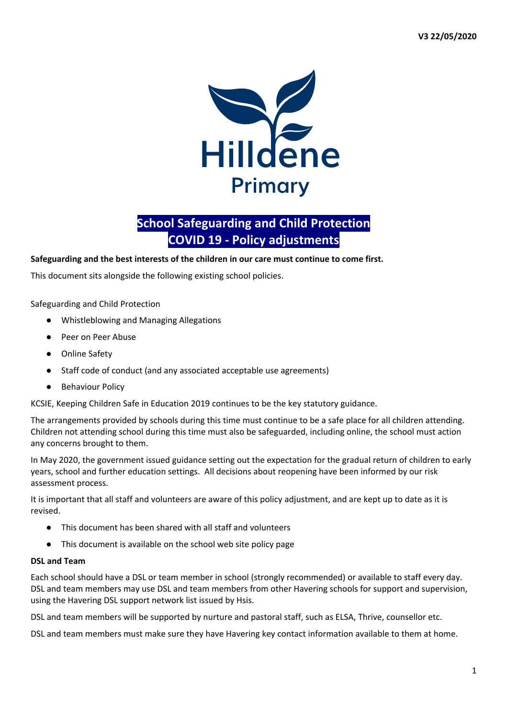

# **School Safeguarding and Child Protection COVID 19 - Policy adjustments**

## **Safeguarding and the best interests of the children in our care must continue to come first.**

This document sits alongside the following existing school policies.

## Safeguarding and Child Protection

- Whistleblowing and Managing Allegations
- Peer on Peer Abuse
- Online Safety
- Staff code of conduct (and any associated acceptable use agreements)
- **Behaviour Policy**

KCSIE, Keeping Children Safe in Education 2019 continues to be the key statutory guidance.

The arrangements provided by schools during this time must continue to be a safe place for all children attending. Children not attending school during this time must also be safeguarded, including online, the school must action any concerns brought to them.

In May 2020, the government issued guidance setting out the expectation for the gradual return of children to early years, school and further education settings. All decisions about reopening have been informed by our risk assessment process.

It is important that all staff and volunteers are aware of this policy adjustment, and are kept up to date as it is revised.

- This document has been shared with all staff and volunteers
- This document is available on the school web site policy page

#### **DSL and Team**

Each school should have a DSL or team member in school (strongly recommended) or available to staff every day. DSL and team members may use DSL and team members from other Havering schools for support and supervision, using the Havering DSL support network list issued by Hsis.

DSL and team members will be supported by nurture and pastoral staff, such as ELSA, Thrive, counsellor etc.

DSL and team members must make sure they have Havering key contact information available to them at home.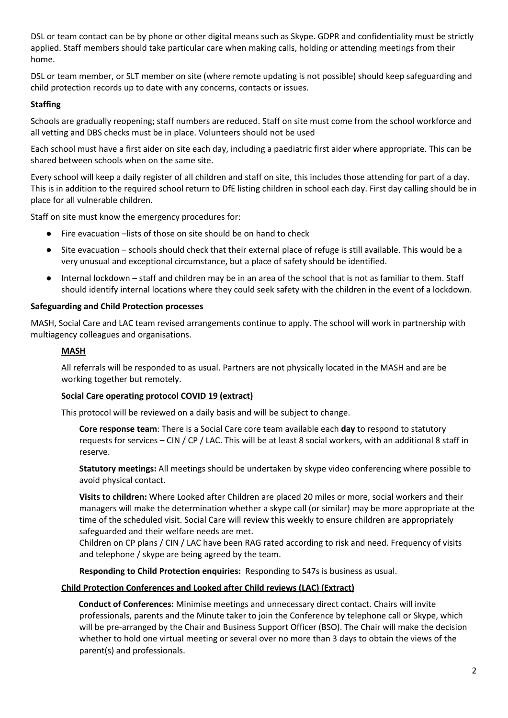DSL or team contact can be by phone or other digital means such as Skype. GDPR and confidentiality must be strictly applied. Staff members should take particular care when making calls, holding or attending meetings from their home.

DSL or team member, or SLT member on site (where remote updating is not possible) should keep safeguarding and child protection records up to date with any concerns, contacts or issues.

# **Staffing**

Schools are gradually reopening; staff numbers are reduced. Staff on site must come from the school workforce and all vetting and DBS checks must be in place. Volunteers should not be used

Each school must have a first aider on site each day, including a paediatric first aider where appropriate. This can be shared between schools when on the same site.

Every school will keep a daily register of all children and staff on site, this includes those attending for part of a day. This is in addition to the required school return to DfE listing children in school each day. First day calling should be in place for all vulnerable children.

Staff on site must know the emergency procedures for:

- Fire evacuation –lists of those on site should be on hand to check
- Site evacuation schools should check that their external place of refuge is still available. This would be a very unusual and exceptional circumstance, but a place of safety should be identified.
- Internal lockdown staff and children may be in an area of the school that is not as familiar to them. Staff should identify internal locations where they could seek safety with the children in the event of a lockdown.

#### **Safeguarding and Child Protection processes**

MASH, Social Care and LAC team revised arrangements continue to apply. The school will work in partnership with multiagency colleagues and organisations.

## **MASH**

All referrals will be responded to as usual. Partners are not physically located in the MASH and are be working together but remotely.

#### **Social Care operating protocol COVID 19 (extract)**

This protocol will be reviewed on a daily basis and will be subject to change.

**Core response team**: There is a Social Care core team available each **day** to respond to statutory requests for services – CIN / CP / LAC. This will be at least 8 social workers, with an additional 8 staff in reserve.

**Statutory meetings:** All meetings should be undertaken by skype video conferencing where possible to avoid physical contact.

**Visits to children:** Where Looked after Children are placed 20 miles or more, social workers and their managers will make the determination whether a skype call (or similar) may be more appropriate at the time of the scheduled visit. Social Care will review this weekly to ensure children are appropriately safeguarded and their welfare needs are met.

Children on CP plans / CIN / LAC have been RAG rated according to risk and need. Frequency of visits and telephone / skype are being agreed by the team.

**Responding to Child Protection enquiries:** Responding to S47s is business as usual.

#### **Child Protection Conferences and Looked after Child reviews (LAC) (Extract)**

**Conduct of Conferences:** Minimise meetings and unnecessary direct contact. Chairs will invite professionals, parents and the Minute taker to join the Conference by telephone call or Skype, which will be pre-arranged by the Chair and Business Support Officer (BSO). The Chair will make the decision whether to hold one virtual meeting or several over no more than 3 days to obtain the views of the parent(s) and professionals.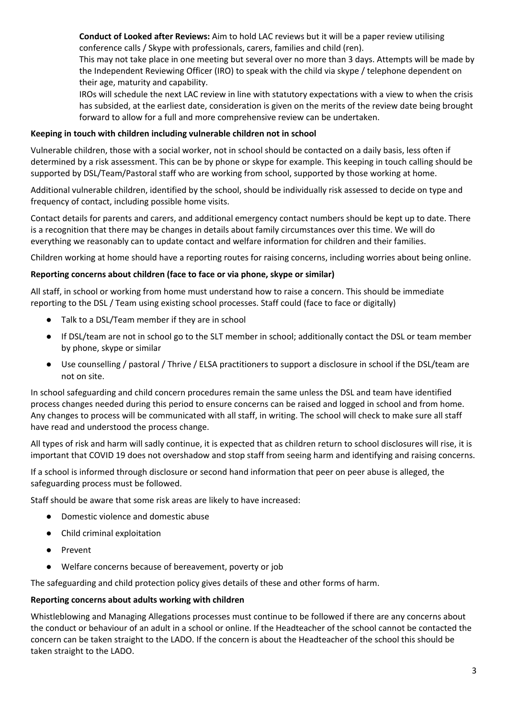**Conduct of Looked after Reviews:** Aim to hold LAC reviews but it will be a paper review utilising conference calls / Skype with professionals, carers, families and child (ren).

This may not take place in one meeting but several over no more than 3 days. Attempts will be made by the Independent Reviewing Officer (IRO) to speak with the child via skype / telephone dependent on their age, maturity and capability.

IROs will schedule the next LAC review in line with statutory expectations with a view to when the crisis has subsided, at the earliest date, consideration is given on the merits of the review date being brought forward to allow for a full and more comprehensive review can be undertaken.

# **Keeping in touch with children including vulnerable children not in school**

Vulnerable children, those with a social worker, not in school should be contacted on a daily basis, less often if determined by a risk assessment. This can be by phone or skype for example. This keeping in touch calling should be supported by DSL/Team/Pastoral staff who are working from school, supported by those working at home.

Additional vulnerable children, identified by the school, should be individually risk assessed to decide on type and frequency of contact, including possible home visits.

Contact details for parents and carers, and additional emergency contact numbers should be kept up to date. There is a recognition that there may be changes in details about family circumstances over this time. We will do everything we reasonably can to update contact and welfare information for children and their families.

Children working at home should have a reporting routes for raising concerns, including worries about being online.

# **Reporting concerns about children (face to face or via phone, skype or similar)**

All staff, in school or working from home must understand how to raise a concern. This should be immediate reporting to the DSL / Team using existing school processes. Staff could (face to face or digitally)

- Talk to a DSL/Team member if they are in school
- If DSL/team are not in school go to the SLT member in school; additionally contact the DSL or team member by phone, skype or similar
- Use counselling / pastoral / Thrive / ELSA practitioners to support a disclosure in school if the DSL/team are not on site.

In school safeguarding and child concern procedures remain the same unless the DSL and team have identified process changes needed during this period to ensure concerns can be raised and logged in school and from home. Any changes to process will be communicated with all staff, in writing. The school will check to make sure all staff have read and understood the process change.

All types of risk and harm will sadly continue, it is expected that as children return to school disclosures will rise, it is important that COVID 19 does not overshadow and stop staff from seeing harm and identifying and raising concerns.

If a school is informed through disclosure or second hand information that peer on peer abuse is alleged, the safeguarding process must be followed.

Staff should be aware that some risk areas are likely to have increased:

- Domestic violence and domestic abuse
- Child criminal exploitation
- Prevent
- Welfare concerns because of bereavement, poverty or job

The safeguarding and child protection policy gives details of these and other forms of harm.

#### **Reporting concerns about adults working with children**

Whistleblowing and Managing Allegations processes must continue to be followed if there are any concerns about the conduct or behaviour of an adult in a school or online. If the Headteacher of the school cannot be contacted the concern can be taken straight to the LADO. If the concern is about the Headteacher of the school this should be taken straight to the LADO.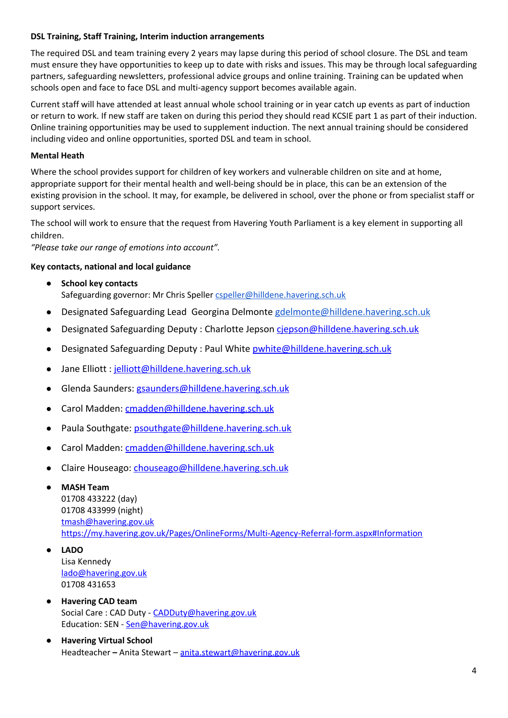# **DSL Training, Staff Training, Interim induction arrangements**

The required DSL and team training every 2 years may lapse during this period of school closure. The DSL and team must ensure they have opportunities to keep up to date with risks and issues. This may be through local safeguarding partners, safeguarding newsletters, professional advice groups and online training. Training can be updated when schools open and face to face DSL and multi-agency support becomes available again.

Current staff will have attended at least annual whole school training or in year catch up events as part of induction or return to work. If new staff are taken on during this period they should read KCSIE part 1 as part of their induction. Online training opportunities may be used to supplement induction. The next annual training should be considered including video and online opportunities, sported DSL and team in school.

## **Mental Heath**

Where the school provides support for children of key workers and vulnerable children on site and at home, appropriate support for their mental health and well-being should be in place, this can be an extension of the existing provision in the school. It may, for example, be delivered in school, over the phone or from specialist staff or support services.

The school will work to ensure that the request from Havering Youth Parliament is a key element in supporting all children.

*"Please take our range of emotions into account".*

## **Key contacts, national and local guidance**

- **School key contacts** Safeguarding governor: Mr Chris Speller [cspeller@hilldene.havering.sch.uk](mailto:cspeller@hilldene.havering.sch.uk)
- Designated Safeguarding Lead Georgina Delmonte [gdelmonte@hilldene.havering.sch.uk](mailto:gdelmonte@hilldene.havering.sch.uk)
- Designated Safeguarding Deputy : Charlotte Jepson ciepson@hilldene.havering.sch.uk
- Designated Safeguarding Deputy : Paul White [pwhite@hilldene.havering.sch.uk](mailto:pwhite@hilldene.havering.sch.uk)
- Jane Elliott : [jelliott@hilldene.havering.sch.uk](mailto:jelliott@hilldene.havering.sch.uk)
- Glenda Saunders: [gsaunders@hilldene.havering.sch.uk](mailto:gsaunders@hilldene.havering.sch.uk)
- Carol Madden: [cmadden@hilldene.havering.sch.uk](mailto:cmadden@hilldene.havering.sch.uk)
- Paula Southgate: [psouthgate@hilldene.havering.sch.uk](mailto:psouthgate@hilldene.havering.sch.uk)
- Carol Madden: [cmadden@hilldene.havering.sch.uk](mailto:cmadden@hilldene.havering.sch.uk)
- Claire Houseago: [chouseago@hilldene.havering.sch.uk](mailto:chouseago@hilldene.havering.sch.uk)
	- **MASH Team** 01708 433222 (day) 01708 433999 (night) [tmash@havering.gov.uk](mailto:tmash@havering.gov.uk) <https://my.havering.gov.uk/Pages/OnlineForms/Multi-Agency-Referral-form.aspx#Information>
- **LADO** Lisa Kennedy [lado@havering.gov.uk](mailto:lado@havering.gov.uk) 01708 431653
- **Havering CAD team** Social Care: CAD Duty - [CADDuty@havering.gov.uk](mailto:CADDuty@havering.gov.uk) Education: SEN - [Sen@havering.gov.uk](mailto:Sen@havering.gov.uk)
- **Havering Virtual School** Headteacher **–** Anita Stewart – [anita.stewart@havering.gov.uk](mailto:anita.stewart@havering.gov.uk)